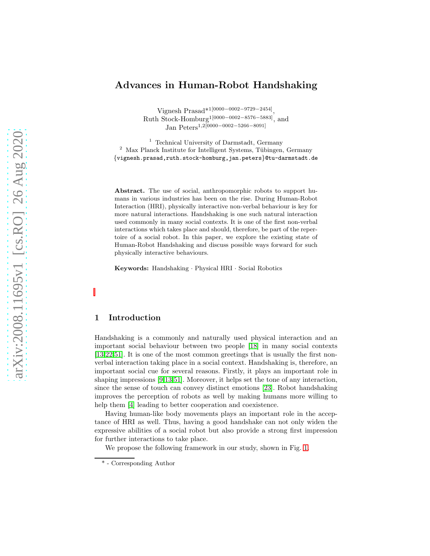# Advances in Human-Robot Handshaking

Vignesh Prasad\*1[0000−0002−9729−2454] , Ruth Stock-Homburg1[0000−0002−8576−5883], and Jan Peters1,2[0000−0002−5266−8091]

<sup>1</sup> Technical University of Darmstadt, Germany  $2$  Max Planck Institute for Intelligent Systems, Tübingen, Germany {vignesh.prasad,ruth.stock-homburg,jan.peters}@tu-darmstadt.de

Abstract. The use of social, anthropomorphic robots to support humans in various industries has been on the rise. During Human-Robot Interaction (HRI), physically interactive non-verbal behaviour is key for more natural interactions. Handshaking is one such natural interaction used commonly in many social contexts. It is one of the first non-verbal interactions which takes place and should, therefore, be part of the repertoire of a social robot. In this paper, we explore the existing state of Human-Robot Handshaking and discuss possible ways forward for such physically interactive behaviours.

Keywords: Handshaking · Physical HRI · Social Robotics

## 1 Introduction

Handshaking is a commonly and naturally used physical interaction and an important social behaviour between two people [\[18\]](#page-8-0) in many social contexts [\[13](#page-8-1)[,22](#page-8-2)[,51\]](#page-10-0). It is one of the most common greetings that is usually the first nonverbal interaction taking place in a social context. Handshaking is, therefore, an important social cue for several reasons. Firstly, it plays an important role in shaping impressions [\[9,](#page-8-3)[13](#page-8-1)[,51\]](#page-10-0). Moreover, it helps set the tone of any interaction, since the sense of touch can convey distinct emotions [\[23\]](#page-9-0). Robot handshaking improves the perception of robots as well by making humans more willing to help them  $[4]$  leading to better cooperation and coexistence.

Having human-like body movements plays an important role in the acceptance of HRI as well. Thus, having a good handshake can not only widen the expressive abilities of a social robot but also provide a strong first impression for further interactions to take place.

We propose the following framework in our study, shown in Fig. [1.](#page-1-0)

<sup>\* -</sup> Corresponding Author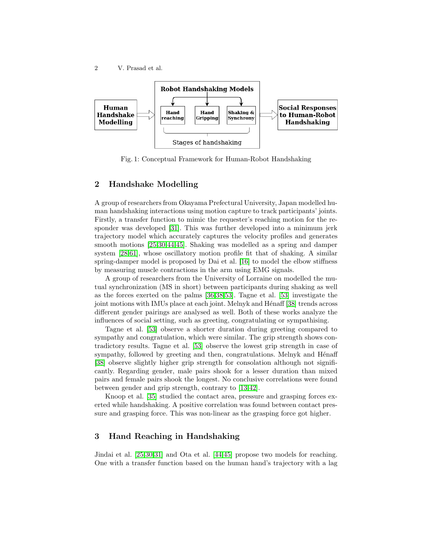<span id="page-1-0"></span>

Fig. 1: Conceptual Framework for Human-Robot Handshaking

## 2 Handshake Modelling

A group of researchers from Okayama Prefectural University, Japan modelled human handshaking interactions using motion capture to track participants' joints. Firstly, a transfer function to mimic the requester's reaching motion for the responder was developed [\[31\]](#page-9-1). This was further developed into a minimum jerk trajectory model which accurately captures the velocity profiles and generates smooth motions [\[25,](#page-9-2)[30](#page-9-3)[,44,](#page-10-1)[45\]](#page-10-2). Shaking was modelled as a spring and damper system [\[28](#page-9-4)[,61\]](#page-11-0), whose oscillatory motion profile fit that of shaking. A similar spring-damper model is proposed by Dai et al. [\[16\]](#page-8-4) to model the elbow stiffness by measuring muscle contractions in the arm using EMG signals.

A group of researchers from the University of Lorraine on modelled the mutual synchronization (MS in short) between participants during shaking as well as the forces exerted on the palms [\[36,](#page-9-5)[38,](#page-10-3)[53\]](#page-11-1). Tagne et al. [\[53\]](#page-11-1) investigate the joint motions with IMUs place at each joint. Melnyk and Hénaff [\[38\]](#page-10-3) trends across different gender pairings are analysed as well. Both of these works analyze the influences of social setting, such as greeting, congratulating or sympathising.

Tagne et al. [\[53\]](#page-11-1) observe a shorter duration during greeting compared to sympathy and congratulation, which were similar. The grip strength shows contradictory results. Tagne et al. [\[53\]](#page-11-1) observe the lowest grip strength in case of sympathy, followed by greeting and then, congratulations. Melnyk and Hénaff [\[38\]](#page-10-3) observe slightly higher grip strength for consolation although not significantly. Regarding gender, male pairs shook for a lesser duration than mixed pairs and female pairs shook the longest. No conclusive correlations were found between gender and grip strength, contrary to [\[13](#page-8-1)[,42\]](#page-10-4).

Knoop et al. [\[35\]](#page-9-6) studied the contact area, pressure and grasping forces exerted while handshaking. A positive correlation was found between contact pressure and grasping force. This was non-linear as the grasping force got higher.

## 3 Hand Reaching in Handshaking

Jindai et al. [\[25](#page-9-2)[,30](#page-9-3)[,31\]](#page-9-1) and Ota et al. [\[44,](#page-10-1)[45\]](#page-10-2) propose two models for reaching. One with a transfer function based on the human hand's trajectory with a lag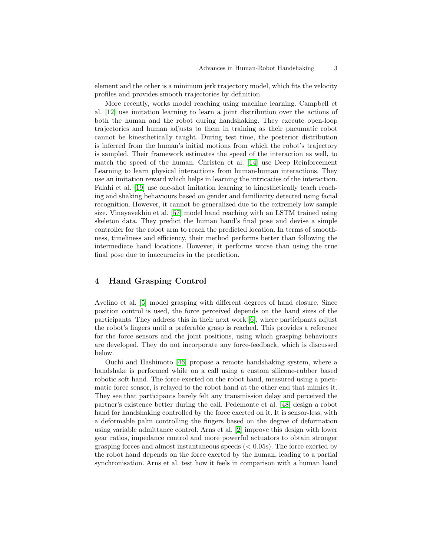element and the other is a minimum jerk trajectory model, which fits the velocity profiles and provides smooth trajectories by definition.

More recently, works model reaching using machine learning. Campbell et al. [\[12\]](#page-8-5) use imitation learning to learn a joint distribution over the actions of both the human and the robot during handshaking. They execute open-loop trajectories and human adjusts to them in training as their pneumatic robot cannot be kinesthetically taught. During test time, the posterior distribution is inferred from the human's initial motions from which the robot's trajectory is sampled. Their framework estimates the speed of the interaction as well, to match the speed of the human. Christen et al. [\[14\]](#page-8-6) use Deep Reinforcement Learning to learn physical interactions from human-human interactions. They use an imitation reward which helps in learning the intricacies of the interaction. Falahi et al. [\[19\]](#page-8-7) use one-shot imitation learning to kinesthetically teach reaching and shaking behaviours based on gender and familiarity detected using facial recognition. However, it cannot be generalized due to the extremely low sample size. Vinayavekhin et al. [\[57\]](#page-11-2) model hand reaching with an LSTM trained using skeleton data. They predict the human hand's final pose and devise a simple controller for the robot arm to reach the predicted location. In terms of smoothness, timeliness and efficiency, their method performs better than following the intermediate hand locations. However, it performs worse than using the true final pose due to inaccuracies in the prediction.

## 4 Hand Grasping Control

Avelino et al. [\[5\]](#page-7-1) model grasping with different degrees of hand closure. Since position control is used, the force perceived depends on the hand sizes of the participants. They address this in their next work [\[6\]](#page-8-8), where participants adjust the robot's fingers until a preferable grasp is reached. This provides a reference for the force sensors and the joint positions, using which grasping behaviours are developed. They do not incorporate any force-feedback, which is discussed below.

Ouchi and Hashimoto [\[46\]](#page-10-5) propose a remote handshaking system, where a handshake is performed while on a call using a custom silicone-rubber based robotic soft hand. The force exerted on the robot hand, measured using a pneumatic force sensor, is relayed to the robot hand at the other end that mimics it. They see that participants barely felt any transmission delay and perceived the partner's existence better during the call. Pedemonte et al. [\[48\]](#page-10-6) design a robot hand for handshaking controlled by the force exerted on it. It is sensor-less, with a deformable palm controlling the fingers based on the degree of deformation using variable admittance control. Arns et al. [\[2\]](#page-7-2) improve this design with lower gear ratios, impedance control and more powerful actuators to obtain stronger grasping forces and almost instantaneous speeds  $( $0.05$ s). The force exerted by$ the robot hand depends on the force exerted by the human, leading to a partial synchronisation. Arns et al. test how it feels in comparison with a human hand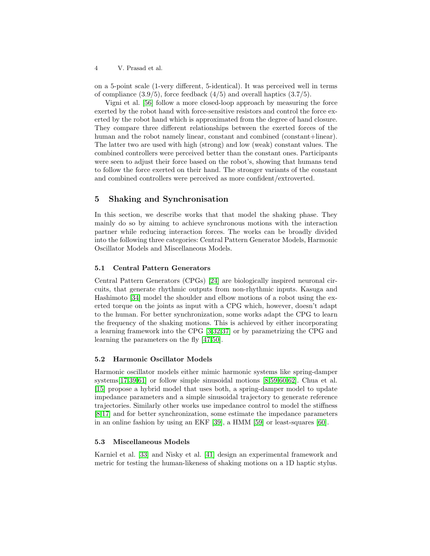on a 5-point scale (1-very different, 5-identical). It was perceived well in terms of compliance  $(3.9/5)$ , force feedback  $(4/5)$  and overall haptics  $(3.7/5)$ .

Vigni et al. [\[56\]](#page-11-3) follow a more closed-loop approach by measuring the force exerted by the robot hand with force-sensitive resistors and control the force exerted by the robot hand which is approximated from the degree of hand closure. They compare three different relationships between the exerted forces of the human and the robot namely linear, constant and combined (constant+linear). The latter two are used with high (strong) and low (weak) constant values. The combined controllers were perceived better than the constant ones. Participants were seen to adjust their force based on the robot's, showing that humans tend to follow the force exerted on their hand. The stronger variants of the constant and combined controllers were perceived as more confident/extroverted.

## 5 Shaking and Synchronisation

In this section, we describe works that that model the shaking phase. They mainly do so by aiming to achieve synchronous motions with the interaction partner while reducing interaction forces. The works can be broadly divided into the following three categories: Central Pattern Generator Models, Harmonic Oscillator Models and Miscellaneous Models.

#### 5.1 Central Pattern Generators

Central Pattern Generators (CPGs) [\[24\]](#page-9-7) are biologically inspired neuronal circuits, that generate rhythmic outputs from non-rhythmic inputs. Kasuga and Hashimoto [\[34\]](#page-9-8) model the shoulder and elbow motions of a robot using the exerted torque on the joints as input with a CPG which, however, doesn't adapt to the human. For better synchronization, some works adapt the CPG to learn the frequency of the shaking motions. This is achieved by either incorporating a learning framework into the CPG [\[3](#page-7-3)[,32](#page-9-9)[,37\]](#page-10-7) or by parametrizing the CPG and learning the parameters on the fly [\[47,](#page-10-8)[50\]](#page-10-9).

#### 5.2 Harmonic Oscillator Models

Harmonic oscillator models either mimic harmonic systems like spring-damper systems[\[17](#page-8-9)[,39,](#page-10-10)[61\]](#page-11-0) or follow simple sinusoidal motions [\[8,](#page-8-10)[59,](#page-11-4)[60,](#page-11-5)[62\]](#page-11-6). Chua et al. [\[15\]](#page-8-11) propose a hybrid model that uses both, a spring-damper model to update impedance parameters and a simple sinusoidal trajectory to generate reference trajectories. Similarly other works use impedance control to model the stiffness [\[8,](#page-8-10)[17\]](#page-8-9) and for better synchronization, some estimate the impedance parameters in an online fashion by using an EKF [\[39\]](#page-10-10), a HMM [\[59\]](#page-11-4) or least-squares [\[60\]](#page-11-5).

#### 5.3 Miscellaneous Models

Karniel et al. [\[33\]](#page-9-10) and Nisky et al. [\[41\]](#page-10-11) design an experimental framework and metric for testing the human-likeness of shaking motions on a 1D haptic stylus.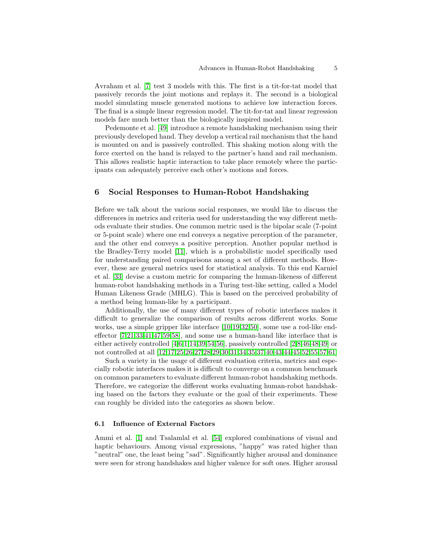Avraham et al. [\[7\]](#page-8-12) test 3 models with this. The first is a tit-for-tat model that passively records the joint motions and replays it. The second is a biological model simulating muscle generated motions to achieve low interaction forces. The final is a simple linear regression model. The tit-for-tat and linear regression models fare much better than the biologically inspired model.

Pedemonte et al. [\[49\]](#page-10-12) introduce a remote handshaking mechanism using their previously developed hand. They develop a vertical rail mechanism that the hand is mounted on and is passively controlled. This shaking motion along with the force exerted on the hand is relayed to the partner's hand and rail mechanism. This allows realistic haptic interaction to take place remotely where the participants can adequately perceive each other's motions and forces.

### 6 Social Responses to Human-Robot Handshaking

Before we talk about the various social responses, we would like to discuss the differences in metrics and criteria used for understanding the way different methods evaluate their studies. One common metric used is the bipolar scale (7-point or 5-point scale) where one end conveys a negative perception of the parameter, and the other end conveys a positive perception. Another popular method is the Bradley-Terry model [\[11\]](#page-8-13), which is a probabilistic model specifically used for understanding paired comparisons among a set of different methods. However, these are general metrics used for statistical analysis. To this end Karniel et al. [\[33\]](#page-9-10) devise a custom metric for comparing the human-likeness of different human-robot handshaking methods in a Turing test-like setting, called a Model Human Likeness Grade (MHLG). This is based on the perceived probability of a method being human-like by a participant.

Additionally, the use of many different types of robotic interfaces makes it difficult to generalize the comparison of results across different works. Some works, use a simple gripper like interface [\[10](#page-8-14)[,19,](#page-8-7)[32](#page-9-9)[,50\]](#page-10-9), some use a rod-like endeffector [\[7,](#page-8-12)[21](#page-8-15)[,33](#page-9-10)[,41,](#page-10-11)[47,](#page-10-8)[59](#page-11-4)[,58\]](#page-11-7), and some use a human-hand like interface that is either actively controlled [\[4,](#page-7-0)[6](#page-8-8)[,1,](#page-7-4)[14](#page-8-6)[,39,](#page-10-10)[54](#page-11-8)[,56\]](#page-11-3), passively controlled [\[2](#page-7-2)[,8](#page-8-10)[,46,](#page-10-5)[48,](#page-10-6)[49\]](#page-10-12) or not controlled at all [\[12,](#page-8-5)[17](#page-8-9)[,25](#page-9-2)[,26](#page-9-11)[,27,](#page-9-12)[28](#page-9-4)[,29](#page-9-13)[,30,](#page-9-3)[31,](#page-9-1)[34,](#page-9-8)[35](#page-9-6)[,37,](#page-10-7)[40](#page-10-13)[,43](#page-10-14)[,44,](#page-10-1)[45,](#page-10-2)[52](#page-10-15)[,55](#page-11-9)[,57,](#page-11-2)[61\]](#page-11-0)

Such a variety in the usage of different evaluation criteria, metrics and especially robotic interfaces makes it is difficult to converge on a common benchmark on common parameters to evaluate different human-robot handshaking methods. Therefore, we categorize the different works evaluating human-robot handshaking based on the factors they evaluate or the goal of their experiments. These can roughly be divided into the categories as shown below.

### 6.1 Influence of External Factors

Ammi et al. [\[1\]](#page-7-4) and Tsalamlal et al. [\[54\]](#page-11-8) explored combinations of visual and haptic behaviours. Among visual expressions, "happy" was rated higher than "neutral" one, the least being "sad". Significantly higher arousal and dominance were seen for strong handshakes and higher valence for soft ones. Higher arousal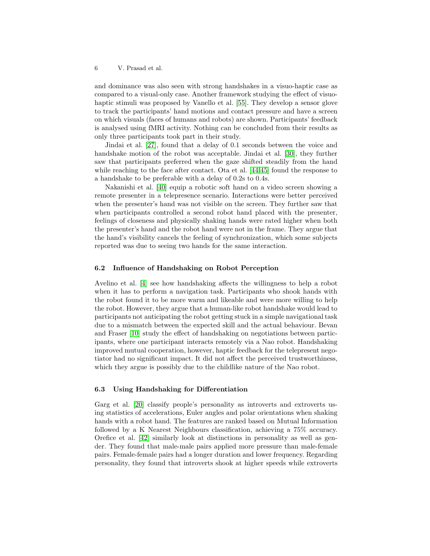and dominance was also seen with strong handshakes in a visuo-haptic case as compared to a visual-only case. Another framework studying the effect of visuohaptic stimuli was proposed by Vanello et al. [\[55\]](#page-11-9). They develop a sensor glove to track the participants' hand motions and contact pressure and have a screen on which visuals (faces of humans and robots) are shown. Participants' feedback is analysed using fMRI activity. Nothing can be concluded from their results as only three participants took part in their study.

Jindai et al. [\[27\]](#page-9-12), found that a delay of 0.1 seconds between the voice and handshake motion of the robot was acceptable. Jindai et al. [\[30\]](#page-9-3), they further saw that participants preferred when the gaze shifted steadily from the hand while reaching to the face after contact. Ota et al. [\[44](#page-10-1)[,45\]](#page-10-2) found the response to a handshake to be preferable with a delay of 0.2s to 0.4s.

Nakanishi et al. [\[40\]](#page-10-13) equip a robotic soft hand on a video screen showing a remote presenter in a telepresence scenario. Interactions were better perceived when the presenter's hand was not visible on the screen. They further saw that when participants controlled a second robot hand placed with the presenter, feelings of closeness and physically shaking hands were rated higher when both the presenter's hand and the robot hand were not in the frame. They argue that the hand's visibility cancels the feeling of synchronization, which some subjects reported was due to seeing two hands for the same interaction.

#### 6.2 Influence of Handshaking on Robot Perception

Avelino et al. [\[4\]](#page-7-0) see how handshaking affects the willingness to help a robot when it has to perform a navigation task. Participants who shook hands with the robot found it to be more warm and likeable and were more willing to help the robot. However, they argue that a human-like robot handshake would lead to participants not anticipating the robot getting stuck in a simple navigational task due to a mismatch between the expected skill and the actual behaviour. Bevan and Fraser [\[10\]](#page-8-14) study the effect of handshaking on negotiations between participants, where one participant interacts remotely via a Nao robot. Handshaking improved mutual cooperation, however, haptic feedback for the telepresent negotiator had no significant impact. It did not affect the perceived trustworthiness, which they argue is possibly due to the childlike nature of the Nao robot.

### 6.3 Using Handshaking for Differentiation

Garg et al. [\[20\]](#page-8-16) classify people's personality as introverts and extroverts using statistics of accelerations, Euler angles and polar orientations when shaking hands with a robot hand. The features are ranked based on Mutual Information followed by a K Nearest Neighbours classification, achieving a 75% accuracy. Orefice et al. [\[42\]](#page-10-4) similarly look at distinctions in personality as well as gender. They found that male-male pairs applied more pressure than male-female pairs. Female-female pairs had a longer duration and lower frequency. Regarding personality, they found that introverts shook at higher speeds while extroverts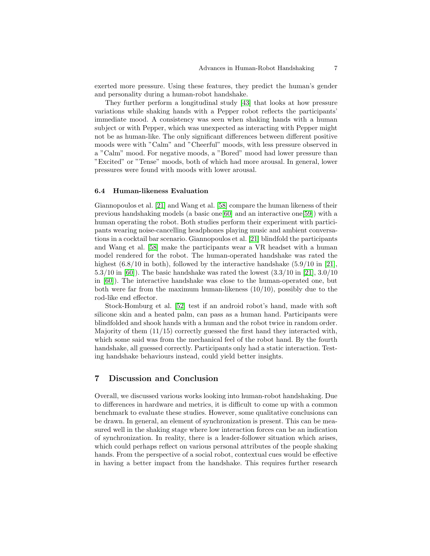exerted more pressure. Using these features, they predict the human's gender and personality during a human-robot handshake.

They further perform a longitudinal study [\[43\]](#page-10-14) that looks at how pressure variations while shaking hands with a Pepper robot reflects the participants' immediate mood. A consistency was seen when shaking hands with a human subject or with Pepper, which was unexpected as interacting with Pepper might not be as human-like. The only significant differences between different positive moods were with "Calm" and "Cheerful" moods, with less pressure observed in a "Calm" mood. For negative moods, a "Bored" mood had lower pressure than "Excited" or "Tense" moods, both of which had more arousal. In general, lower pressures were found with moods with lower arousal.

#### 6.4 Human-likeness Evaluation

Giannopoulos et al. [\[21\]](#page-8-15) and Wang et al. [\[58\]](#page-11-7) compare the human likeness of their previous handshaking models (a basic one[\[60\]](#page-11-5) and an interactive one[\[59\]](#page-11-4)) with a human operating the robot. Both studies perform their experiment with participants wearing noise-cancelling headphones playing music and ambient conversations in a cocktail bar scenario. Giannopoulos et al. [\[21\]](#page-8-15) blindfold the participants and Wang et al. [\[58\]](#page-11-7) make the participants wear a VR headset with a human model rendered for the robot. The human-operated handshake was rated the highest  $(6.8/10 \text{ in both})$ , followed by the interactive handshake  $(5.9/10 \text{ in } [21]$  $(5.9/10 \text{ in } [21]$ , 5.3/10 in [\[60\]](#page-11-5)). The basic handshake was rated the lowest (3.3/10 in [\[21\]](#page-8-15), 3.0/10 in [\[60\]](#page-11-5)). The interactive handshake was close to the human-operated one, but both were far from the maximum human-likeness  $(10/10)$ , possibly due to the rod-like end effector.

Stock-Homburg et al. [\[52\]](#page-10-15) test if an android robot's hand, made with soft silicone skin and a heated palm, can pass as a human hand. Participants were blindfolded and shook hands with a human and the robot twice in random order. Majority of them (11/15) correctly guessed the first hand they interacted with, which some said was from the mechanical feel of the robot hand. By the fourth handshake, all guessed correctly. Participants only had a static interaction. Testing handshake behaviours instead, could yield better insights.

## 7 Discussion and Conclusion

Overall, we discussed various works looking into human-robot handshaking. Due to differences in hardware and metrics, it is difficult to come up with a common benchmark to evaluate these studies. However, some qualitative conclusions can be drawn. In general, an element of synchronization is present. This can be measured well in the shaking stage where low interaction forces can be an indication of synchronization. In reality, there is a leader-follower situation which arises, which could perhaps reflect on various personal attributes of the people shaking hands. From the perspective of a social robot, contextual cues would be effective in having a better impact from the handshake. This requires further research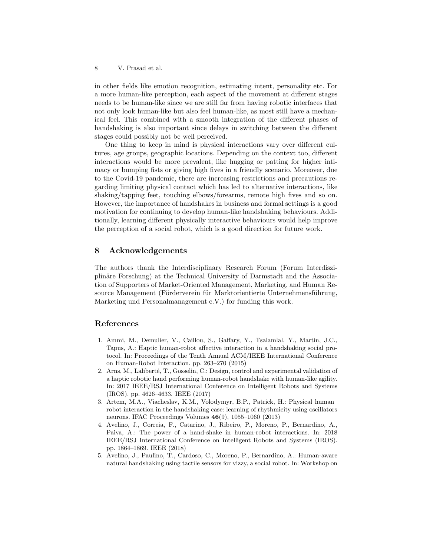in other fields like emotion recognition, estimating intent, personality etc. For a more human-like perception, each aspect of the movement at different stages needs to be human-like since we are still far from having robotic interfaces that not only look human-like but also feel human-like, as most still have a mechanical feel. This combined with a smooth integration of the different phases of handshaking is also important since delays in switching between the different stages could possibly not be well perceived.

One thing to keep in mind is physical interactions vary over different cultures, age groups, geographic locations. Depending on the context too, different interactions would be more prevalent, like hugging or patting for higher intimacy or bumping fists or giving high fives in a friendly scenario. Moreover, due to the Covid-19 pandemic, there are increasing restrictions and precautions regarding limiting physical contact which has led to alternative interactions, like shaking/tapping feet, touching elbows/forearms, remote high fives and so on. However, the importance of handshakes in business and formal settings is a good motivation for continuing to develop human-like handshaking behaviours. Additionally, learning different physically interactive behaviours would help improve the perception of a social robot, which is a good direction for future work.

## 8 Acknowledgements

The authors thank the Interdisciplinary Research Forum (Forum Interdisziplinäre Forschung) at the Technical University of Darmstadt and the Association of Supporters of Market-Oriented Management, Marketing, and Human Resource Management (Förderverein für Marktorientierte Unternehmensführung, Marketing und Personalmanagement e.V.) for funding this work.

## References

- <span id="page-7-4"></span>1. Ammi, M., Demulier, V., Caillou, S., Gaffary, Y., Tsalamlal, Y., Martin, J.C., Tapus, A.: Haptic human-robot affective interaction in a handshaking social protocol. In: Proceedings of the Tenth Annual ACM/IEEE International Conference on Human-Robot Interaction. pp. 263–270 (2015)
- <span id="page-7-2"></span>2. Arns, M., Laliberté, T., Gosselin, C.: Design, control and experimental validation of a haptic robotic hand performing human-robot handshake with human-like agility. In: 2017 IEEE/RSJ International Conference on Intelligent Robots and Systems (IROS). pp. 4626–4633. IEEE (2017)
- <span id="page-7-3"></span>3. Artem, M.A., Viacheslav, K.M., Volodymyr, B.P., Patrick, H.: Physical human– robot interaction in the handshaking case: learning of rhythmicity using oscillators neurons. IFAC Proceedings Volumes 46(9), 1055–1060 (2013)
- <span id="page-7-0"></span>4. Avelino, J., Correia, F., Catarino, J., Ribeiro, P., Moreno, P., Bernardino, A., Paiva, A.: The power of a hand-shake in human-robot interactions. In: 2018 IEEE/RSJ International Conference on Intelligent Robots and Systems (IROS). pp. 1864–1869. IEEE (2018)
- <span id="page-7-1"></span>5. Avelino, J., Paulino, T., Cardoso, C., Moreno, P., Bernardino, A.: Human-aware natural handshaking using tactile sensors for vizzy, a social robot. In: Workshop on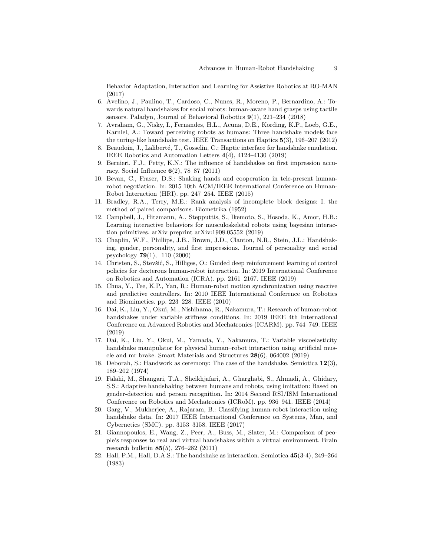Behavior Adaptation, Interaction and Learning for Assistive Robotics at RO-MAN (2017)

- <span id="page-8-8"></span>6. Avelino, J., Paulino, T., Cardoso, C., Nunes, R., Moreno, P., Bernardino, A.: Towards natural handshakes for social robots: human-aware hand grasps using tactile sensors. Paladyn, Journal of Behavioral Robotics 9(1), 221–234 (2018)
- <span id="page-8-12"></span>7. Avraham, G., Nisky, I., Fernandes, H.L., Acuna, D.E., Kording, K.P., Loeb, G.E., Karniel, A.: Toward perceiving robots as humans: Three handshake models face the turing-like handshake test. IEEE Transactions on Haptics 5(3), 196–207 (2012)
- <span id="page-8-10"></span><span id="page-8-3"></span>8. Beaudoin, J., Laliberté, T., Gosselin, C.: Haptic interface for handshake emulation. IEEE Robotics and Automation Letters 4(4), 4124–4130 (2019)
- 9. Bernieri, F.J., Petty, K.N.: The influence of handshakes on first impression accuracy. Social Influence 6(2), 78–87 (2011)
- <span id="page-8-14"></span>10. Bevan, C., Fraser, D.S.: Shaking hands and cooperation in tele-present humanrobot negotiation. In: 2015 10th ACM/IEEE International Conference on Human-Robot Interaction (HRI). pp. 247–254. IEEE (2015)
- <span id="page-8-13"></span>11. Bradley, R.A., Terry, M.E.: Rank analysis of incomplete block designs: I. the method of paired comparisons. Biometrika (1952)
- <span id="page-8-5"></span>12. Campbell, J., Hitzmann, A., Stepputtis, S., Ikemoto, S., Hosoda, K., Amor, H.B.: Learning interactive behaviors for musculoskeletal robots using bayesian interaction primitives. arXiv preprint arXiv:1908.05552 (2019)
- <span id="page-8-1"></span>13. Chaplin, W.F., Phillips, J.B., Brown, J.D., Clanton, N.R., Stein, J.L.: Handshaking, gender, personality, and first impressions. Journal of personality and social psychology 79(1), 110 (2000)
- <span id="page-8-6"></span>14. Christen, S., Stevšić, S., Hilliges, O.: Guided deep reinforcement learning of control policies for dexterous human-robot interaction. In: 2019 International Conference on Robotics and Automation (ICRA). pp. 2161–2167. IEEE (2019)
- <span id="page-8-11"></span>15. Chua, Y., Tee, K.P., Yan, R.: Human-robot motion synchronization using reactive and predictive controllers. In: 2010 IEEE International Conference on Robotics and Biomimetics. pp. 223–228. IEEE (2010)
- <span id="page-8-4"></span>16. Dai, K., Liu, Y., Okui, M., Nishihama, R., Nakamura, T.: Research of human-robot handshakes under variable stiffness conditions. In: 2019 IEEE 4th International Conference on Advanced Robotics and Mechatronics (ICARM). pp. 744–749. IEEE (2019)
- <span id="page-8-9"></span>17. Dai, K., Liu, Y., Okui, M., Yamada, Y., Nakamura, T.: Variable viscoelasticity handshake manipulator for physical human–robot interaction using artificial muscle and mr brake. Smart Materials and Structures 28(6), 064002 (2019)
- <span id="page-8-0"></span>18. Deborah, S.: Handwork as ceremony: The case of the handshake. Semiotica 12(3), 189–202 (1974)
- <span id="page-8-7"></span>19. Falahi, M., Shangari, T.A., Sheikhjafari, A., Gharghabi, S., Ahmadi, A., Ghidary, S.S.: Adaptive handshaking between humans and robots, using imitation: Based on gender-detection and person recognition. In: 2014 Second RSI/ISM International Conference on Robotics and Mechatronics (ICRoM). pp. 936–941. IEEE (2014)
- <span id="page-8-16"></span>20. Garg, V., Mukherjee, A., Rajaram, B.: Classifying human-robot interaction using handshake data. In: 2017 IEEE International Conference on Systems, Man, and Cybernetics (SMC). pp. 3153–3158. IEEE (2017)
- <span id="page-8-15"></span>21. Giannopoulos, E., Wang, Z., Peer, A., Buss, M., Slater, M.: Comparison of people's responses to real and virtual handshakes within a virtual environment. Brain research bulletin 85(5), 276–282 (2011)
- <span id="page-8-2"></span>22. Hall, P.M., Hall, D.A.S.: The handshake as interaction. Semiotica 45(3-4), 249–264 (1983)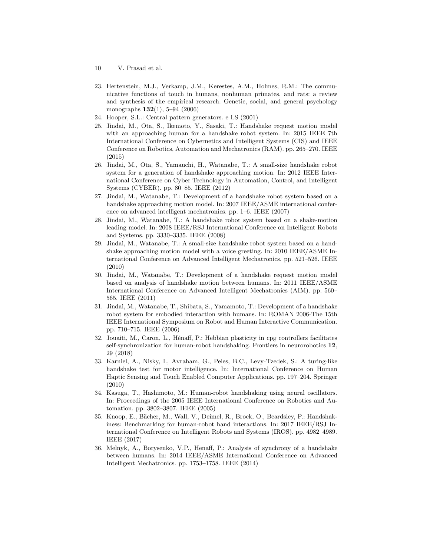- 10 V. Prasad et al.
- <span id="page-9-0"></span>23. Hertenstein, M.J., Verkamp, J.M., Kerestes, A.M., Holmes, R.M.: The communicative functions of touch in humans, nonhuman primates, and rats: a review and synthesis of the empirical research. Genetic, social, and general psychology monographs 132(1), 5–94 (2006)
- <span id="page-9-7"></span><span id="page-9-2"></span>24. Hooper, S.L.: Central pattern generators. e LS (2001)
- 25. Jindai, M., Ota, S., Ikemoto, Y., Sasaki, T.: Handshake request motion model with an approaching human for a handshake robot system. In: 2015 IEEE 7th International Conference on Cybernetics and Intelligent Systems (CIS) and IEEE Conference on Robotics, Automation and Mechatronics (RAM). pp. 265–270. IEEE (2015)
- <span id="page-9-11"></span>26. Jindai, M., Ota, S., Yamauchi, H., Watanabe, T.: A small-size handshake robot system for a generation of handshake approaching motion. In: 2012 IEEE International Conference on Cyber Technology in Automation, Control, and Intelligent Systems (CYBER). pp. 80–85. IEEE (2012)
- <span id="page-9-12"></span>27. Jindai, M., Watanabe, T.: Development of a handshake robot system based on a handshake approaching motion model. In: 2007 IEEE/ASME international conference on advanced intelligent mechatronics. pp. 1–6. IEEE (2007)
- <span id="page-9-4"></span>28. Jindai, M., Watanabe, T.: A handshake robot system based on a shake-motion leading model. In: 2008 IEEE/RSJ International Conference on Intelligent Robots and Systems. pp. 3330–3335. IEEE (2008)
- <span id="page-9-13"></span>29. Jindai, M., Watanabe, T.: A small-size handshake robot system based on a handshake approaching motion model with a voice greeting. In: 2010 IEEE/ASME International Conference on Advanced Intelligent Mechatronics. pp. 521–526. IEEE (2010)
- <span id="page-9-3"></span>30. Jindai, M., Watanabe, T.: Development of a handshake request motion model based on analysis of handshake motion between humans. In: 2011 IEEE/ASME International Conference on Advanced Intelligent Mechatronics (AIM). pp. 560– 565. IEEE (2011)
- <span id="page-9-1"></span>31. Jindai, M., Watanabe, T., Shibata, S., Yamamoto, T.: Development of a handshake robot system for embodied interaction with humans. In: ROMAN 2006-The 15th IEEE International Symposium on Robot and Human Interactive Communication. pp. 710–715. IEEE (2006)
- <span id="page-9-9"></span>32. Jouaiti, M., Caron, L., Hénaff, P.: Hebbian plasticity in cpg controllers facilitates self-synchronization for human-robot handshaking. Frontiers in neurorobotics 12, 29 (2018)
- <span id="page-9-10"></span>33. Karniel, A., Nisky, I., Avraham, G., Peles, B.C., Levy-Tzedek, S.: A turing-like handshake test for motor intelligence. In: International Conference on Human Haptic Sensing and Touch Enabled Computer Applications. pp. 197–204. Springer (2010)
- <span id="page-9-8"></span>34. Kasuga, T., Hashimoto, M.: Human-robot handshaking using neural oscillators. In: Proceedings of the 2005 IEEE International Conference on Robotics and Automation. pp. 3802–3807. IEEE (2005)
- <span id="page-9-6"></span>35. Knoop, E., Bächer, M., Wall, V., Deimel, R., Brock, O., Beardsley, P.: Handshakiness: Benchmarking for human-robot hand interactions. In: 2017 IEEE/RSJ International Conference on Intelligent Robots and Systems (IROS). pp. 4982–4989. IEEE (2017)
- <span id="page-9-5"></span>36. Melnyk, A., Borysenko, V.P., Henaff, P.: Analysis of synchrony of a handshake between humans. In: 2014 IEEE/ASME International Conference on Advanced Intelligent Mechatronics. pp. 1753–1758. IEEE (2014)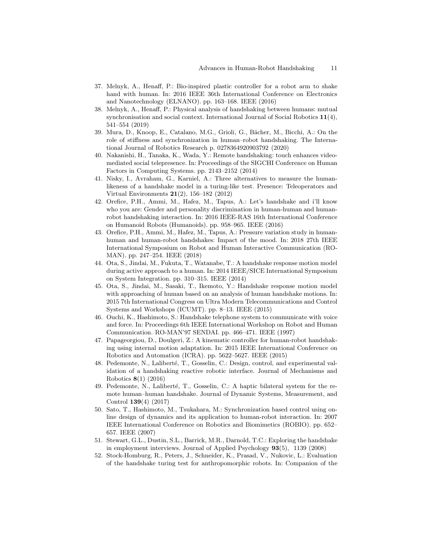- <span id="page-10-7"></span>37. Melnyk, A., Henaff, P.: Bio-inspired plastic controller for a robot arm to shake hand with human. In: 2016 IEEE 36th International Conference on Electronics and Nanotechnology (ELNANO). pp. 163–168. IEEE (2016)
- <span id="page-10-3"></span>38. Melnyk, A., Henaff, P.: Physical analysis of handshaking between humans: mutual synchronisation and social context. International Journal of Social Robotics 11(4), 541–554 (2019)
- <span id="page-10-10"></span>39. Mura, D., Knoop, E., Catalano, M.G., Grioli, G., Bächer, M., Bicchi, A.: On the role of stiffness and synchronization in human–robot handshaking. The International Journal of Robotics Research p. 0278364920903792 (2020)
- <span id="page-10-13"></span>40. Nakanishi, H., Tanaka, K., Wada, Y.: Remote handshaking: touch enhances videomediated social telepresence. In: Proceedings of the SIGCHI Conference on Human Factors in Computing Systems. pp. 2143–2152 (2014)
- <span id="page-10-11"></span>41. Nisky, I., Avraham, G., Karniel, A.: Three alternatives to measure the humanlikeness of a handshake model in a turing-like test. Presence: Teleoperators and Virtual Environments 21(2), 156–182 (2012)
- <span id="page-10-4"></span>42. Orefice, P.H., Ammi, M., Hafez, M., Tapus, A.: Let's handshake and i'll know who you are: Gender and personality discrimination in human-human and humanrobot handshaking interaction. In: 2016 IEEE-RAS 16th International Conference on Humanoid Robots (Humanoids). pp. 958–965. IEEE (2016)
- <span id="page-10-14"></span>43. Orefice, P.H., Ammi, M., Hafez, M., Tapus, A.: Pressure variation study in humanhuman and human-robot handshakes: Impact of the mood. In: 2018 27th IEEE International Symposium on Robot and Human Interactive Communication (RO-MAN). pp. 247–254. IEEE (2018)
- <span id="page-10-1"></span>44. Ota, S., Jindai, M., Fukuta, T., Watanabe, T.: A handshake response motion model during active approach to a human. In: 2014 IEEE/SICE International Symposium on System Integration. pp. 310–315. IEEE (2014)
- <span id="page-10-2"></span>45. Ota, S., Jindai, M., Sasaki, T., Ikemoto, Y.: Handshake response motion model with approaching of human based on an analysis of human handshake motions. In: 2015 7th International Congress on Ultra Modern Telecommunications and Control Systems and Workshops (ICUMT). pp. 8–13. IEEE (2015)
- <span id="page-10-5"></span>46. Ouchi, K., Hashimoto, S.: Handshake telephone system to communicate with voice and force. In: Proceedings 6th IEEE International Workshop on Robot and Human Communication. RO-MAN'97 SENDAI. pp. 466–471. IEEE (1997)
- <span id="page-10-8"></span>47. Papageorgiou, D., Doulgeri, Z.: A kinematic controller for human-robot handshaking using internal motion adaptation. In: 2015 IEEE International Conference on Robotics and Automation (ICRA). pp. 5622–5627. IEEE (2015)
- <span id="page-10-6"></span>48. Pedemonte, N., Laliberté, T., Gosselin, C.: Design, control, and experimental validation of a handshaking reactive robotic interface. Journal of Mechanisms and Robotics 8(1) (2016)
- <span id="page-10-12"></span>49. Pedemonte, N., Laliberté, T., Gosselin, C.: A haptic bilateral system for the remote human–human handshake. Journal of Dynamic Systems, Measurement, and Control 139(4) (2017)
- <span id="page-10-9"></span>50. Sato, T., Hashimoto, M., Tsukahara, M.: Synchronization based control using online design of dynamics and its application to human-robot interaction. In: 2007 IEEE International Conference on Robotics and Biomimetics (ROBIO). pp. 652– 657. IEEE (2007)
- <span id="page-10-0"></span>51. Stewart, G.L., Dustin, S.L., Barrick, M.R., Darnold, T.C.: Exploring the handshake in employment interviews. Journal of Applied Psychology 93(5), 1139 (2008)
- <span id="page-10-15"></span>52. Stock-Homburg, R., Peters, J., Schneider, K., Prasad, V., Nukovic, L.: Evaluation of the handshake turing test for anthropomorphic robots. In: Companion of the